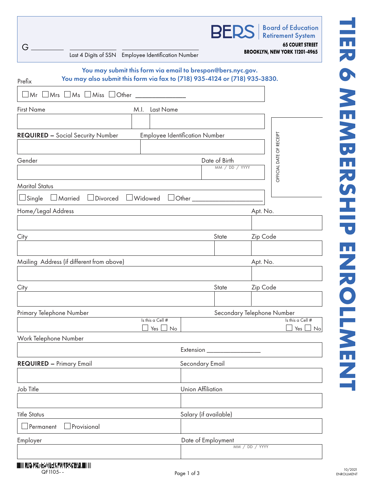| You may submit this form via email to brespon@bers.nyc.gov.<br>You may also submit this form via fax to (718) 935-4124 or (718) 935-3830.<br>Prefix<br>$\Box$ Mr $\Box$ Mrs $\Box$ Ms $\Box$ Miss $\Box$ Other<br>M.I. Last Name |                                   |
|----------------------------------------------------------------------------------------------------------------------------------------------------------------------------------------------------------------------------------|-----------------------------------|
| <b>First Name</b>                                                                                                                                                                                                                |                                   |
|                                                                                                                                                                                                                                  |                                   |
|                                                                                                                                                                                                                                  |                                   |
|                                                                                                                                                                                                                                  |                                   |
|                                                                                                                                                                                                                                  |                                   |
| <b>Employee Identification Number</b><br><b>REQUIRED - Social Security Number</b>                                                                                                                                                |                                   |
|                                                                                                                                                                                                                                  |                                   |
| Gender<br>Date of Birth<br>MM / DD / YYYY                                                                                                                                                                                        | OFFICIAL DATE OF RECEIPT          |
| <b>Marital Status</b>                                                                                                                                                                                                            |                                   |
| □Divorced □Widowed □Other _____<br>$\Box$ Married<br>$\Box$ Single                                                                                                                                                               |                                   |
| Home/Legal Address<br>Apt. No.                                                                                                                                                                                                   |                                   |
|                                                                                                                                                                                                                                  |                                   |
| State<br>Zip Code<br>City                                                                                                                                                                                                        |                                   |
|                                                                                                                                                                                                                                  |                                   |
| Mailing Address (if different from above)<br>Apt. No.                                                                                                                                                                            |                                   |
|                                                                                                                                                                                                                                  |                                   |
| State<br>Zip Code<br>City                                                                                                                                                                                                        |                                   |
|                                                                                                                                                                                                                                  |                                   |
| Primary Telephone Number<br>Secondary Telephone Number                                                                                                                                                                           |                                   |
| Is this a Cell #<br>Yes $\Box$ No                                                                                                                                                                                                | Is this a Cell #<br>Yes $\Box$ No |
| Work Telephone Number                                                                                                                                                                                                            |                                   |
| Extension ___________                                                                                                                                                                                                            |                                   |
| <b>REQUIRED - Primary Email</b><br>Secondary Email                                                                                                                                                                               |                                   |
|                                                                                                                                                                                                                                  |                                   |
| <b>Union Affiliation</b><br>Job Title                                                                                                                                                                                            |                                   |
|                                                                                                                                                                                                                                  |                                   |
| Salary (if available)<br><b>Title Status</b>                                                                                                                                                                                     |                                   |
| Provisional<br>$\mathsf{\mathsf{I}}$ Permanent                                                                                                                                                                                   |                                   |
| Date of Employment<br>Employer                                                                                                                                                                                                   |                                   |
| MM / DD / YYYY                                                                                                                                                                                                                   |                                   |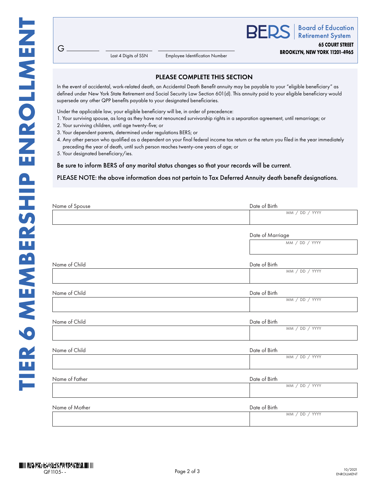**BEDS Retirement System 65 COURT STREET BROOKLYN, NEW YORK 11201-4965**

**Board of Education** 

Last 4 Digits of SSN

Employee Identification Number

## PLEASE COMPLETE THIS SECTION

In the event of accidental, work-related death, an Accidental Death Benefit annuity may be payable to your "eligible beneficiary" as defined under New York State Retirement and Social Security Law Section 601(d). This annuity paid to your eligible beneficiary would supersede any other QPP benefits payable to your designated beneficiaries.

Under the applicable law, your eligible beneficiary will be, in order of precedence:

- 1. Your surviving spouse, as long as they have not renounced survivorship rights in a separation agreement, until remarriage; or
- 2. Your surviving children, until age twenty-five; or
- 3. Your dependent parents, determined under regulations BERS; or
- 4. Any other person who qualified as a dependent on your final federal income tax return or the return you filed in the year immediately preceding the year of death, until such person reaches twenty-one years of age; or
- 5. Your designated beneficiary/ies.

 $G$ .

Be sure to inform BERS of any marital status changes so that your records will be current.

PLEASE NOTE: the above information does not pertain to Tax Deferred Annuity death benefit designations.

| Name of Spouse | Date of Birth    |
|----------------|------------------|
|                | MM / DD / YYYY   |
|                | Date of Marriage |
|                | MM / DD / YYYY   |
| Name of Child  | Date of Birth    |
|                | MM / DD / YYYY   |
| Name of Child  | Date of Birth    |
|                | MM / DD / YYYY   |
| Name of Child  | Date of Birth    |
|                | MM / DD / YYYY   |
| Name of Child  | Date of Birth    |
|                | MM / DD / YYYY   |
| Name of Father | Date of Birth    |
|                | MM / DD / YYYY   |
| Name of Mother | Date of Birth    |
|                | MM / DD / YYYY   |